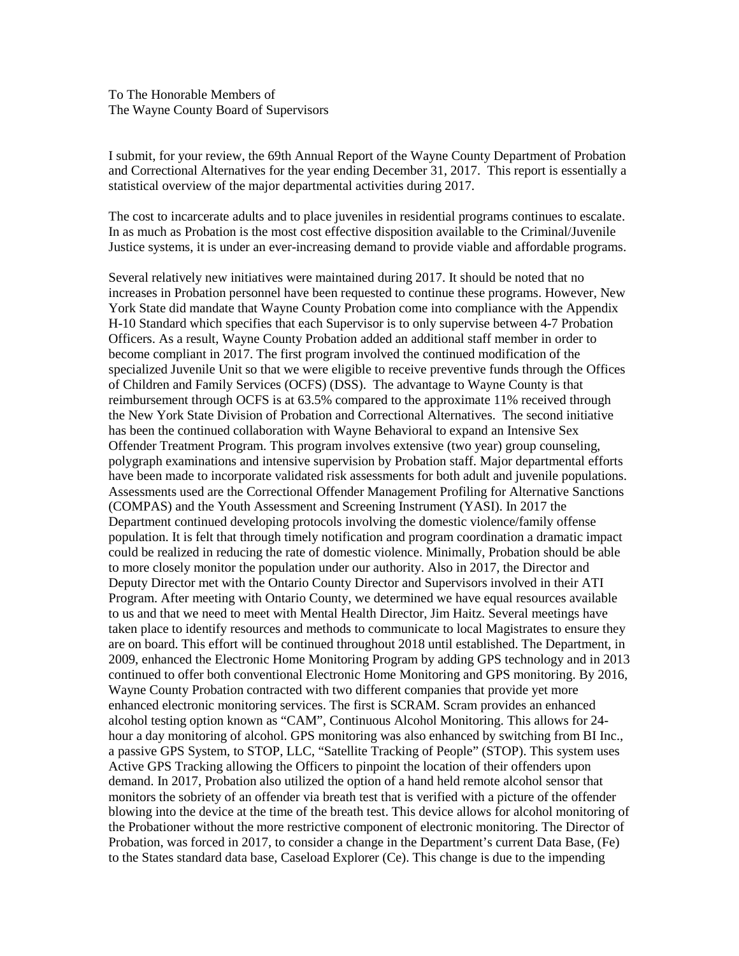To The Honorable Members of The Wayne County Board of Supervisors

I submit, for your review, the 69th Annual Report of the Wayne County Department of Probation and Correctional Alternatives for the year ending December 31, 2017. This report is essentially a statistical overview of the major departmental activities during 2017.

The cost to incarcerate adults and to place juveniles in residential programs continues to escalate. In as much as Probation is the most cost effective disposition available to the Criminal/Juvenile Justice systems, it is under an ever-increasing demand to provide viable and affordable programs.

Several relatively new initiatives were maintained during 2017. It should be noted that no increases in Probation personnel have been requested to continue these programs. However, New York State did mandate that Wayne County Probation come into compliance with the Appendix H-10 Standard which specifies that each Supervisor is to only supervise between 4-7 Probation Officers. As a result, Wayne County Probation added an additional staff member in order to become compliant in 2017. The first program involved the continued modification of the specialized Juvenile Unit so that we were eligible to receive preventive funds through the Offices of Children and Family Services (OCFS) (DSS). The advantage to Wayne County is that reimbursement through OCFS is at 63.5% compared to the approximate 11% received through the New York State Division of Probation and Correctional Alternatives. The second initiative has been the continued collaboration with Wayne Behavioral to expand an Intensive Sex Offender Treatment Program. This program involves extensive (two year) group counseling, polygraph examinations and intensive supervision by Probation staff. Major departmental efforts have been made to incorporate validated risk assessments for both adult and juvenile populations. Assessments used are the Correctional Offender Management Profiling for Alternative Sanctions (COMPAS) and the Youth Assessment and Screening Instrument (YASI). In 2017 the Department continued developing protocols involving the domestic violence/family offense population. It is felt that through timely notification and program coordination a dramatic impact could be realized in reducing the rate of domestic violence. Minimally, Probation should be able to more closely monitor the population under our authority. Also in 2017, the Director and Deputy Director met with the Ontario County Director and Supervisors involved in their ATI Program. After meeting with Ontario County, we determined we have equal resources available to us and that we need to meet with Mental Health Director, Jim Haitz. Several meetings have taken place to identify resources and methods to communicate to local Magistrates to ensure they are on board. This effort will be continued throughout 2018 until established. The Department, in 2009, enhanced the Electronic Home Monitoring Program by adding GPS technology and in 2013 continued to offer both conventional Electronic Home Monitoring and GPS monitoring. By 2016, Wayne County Probation contracted with two different companies that provide yet more enhanced electronic monitoring services. The first is SCRAM. Scram provides an enhanced alcohol testing option known as "CAM", Continuous Alcohol Monitoring. This allows for 24 hour a day monitoring of alcohol. GPS monitoring was also enhanced by switching from BI Inc., a passive GPS System, to STOP, LLC, "Satellite Tracking of People" (STOP). This system uses Active GPS Tracking allowing the Officers to pinpoint the location of their offenders upon demand. In 2017, Probation also utilized the option of a hand held remote alcohol sensor that monitors the sobriety of an offender via breath test that is verified with a picture of the offender blowing into the device at the time of the breath test. This device allows for alcohol monitoring of the Probationer without the more restrictive component of electronic monitoring. The Director of Probation, was forced in 2017, to consider a change in the Department's current Data Base, (Fe) to the States standard data base, Caseload Explorer (Ce). This change is due to the impending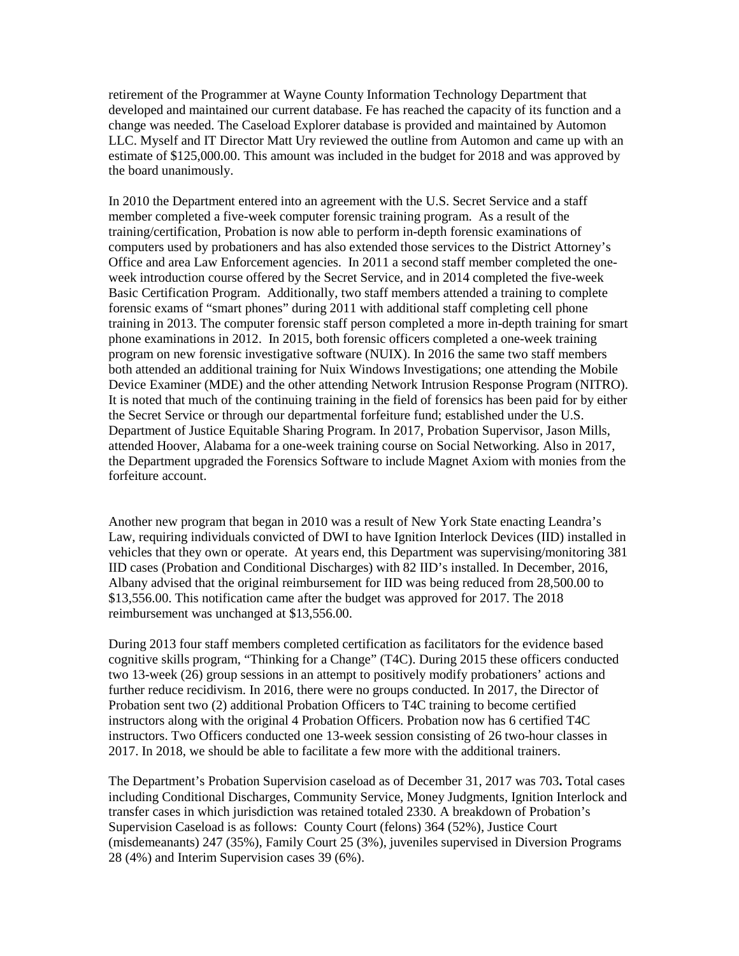retirement of the Programmer at Wayne County Information Technology Department that developed and maintained our current database. Fe has reached the capacity of its function and a change was needed. The Caseload Explorer database is provided and maintained by Automon LLC. Myself and IT Director Matt Ury reviewed the outline from Automon and came up with an estimate of \$125,000.00. This amount was included in the budget for 2018 and was approved by the board unanimously.

In 2010 the Department entered into an agreement with the U.S. Secret Service and a staff member completed a five-week computer forensic training program. As a result of the training/certification, Probation is now able to perform in-depth forensic examinations of computers used by probationers and has also extended those services to the District Attorney's Office and area Law Enforcement agencies. In 2011 a second staff member completed the oneweek introduction course offered by the Secret Service, and in 2014 completed the five-week Basic Certification Program. Additionally, two staff members attended a training to complete forensic exams of "smart phones" during 2011 with additional staff completing cell phone training in 2013. The computer forensic staff person completed a more in-depth training for smart phone examinations in 2012. In 2015, both forensic officers completed a one-week training program on new forensic investigative software (NUIX). In 2016 the same two staff members both attended an additional training for Nuix Windows Investigations; one attending the Mobile Device Examiner (MDE) and the other attending Network Intrusion Response Program (NITRO). It is noted that much of the continuing training in the field of forensics has been paid for by either the Secret Service or through our departmental forfeiture fund; established under the U.S. Department of Justice Equitable Sharing Program. In 2017, Probation Supervisor, Jason Mills, attended Hoover, Alabama for a one-week training course on Social Networking. Also in 2017, the Department upgraded the Forensics Software to include Magnet Axiom with monies from the forfeiture account.

Another new program that began in 2010 was a result of New York State enacting Leandra's Law, requiring individuals convicted of DWI to have Ignition Interlock Devices (IID) installed in vehicles that they own or operate. At years end, this Department was supervising/monitoring 381 IID cases (Probation and Conditional Discharges) with 82 IID's installed. In December, 2016, Albany advised that the original reimbursement for IID was being reduced from 28,500.00 to \$13,556.00. This notification came after the budget was approved for 2017. The 2018 reimbursement was unchanged at \$13,556.00.

During 2013 four staff members completed certification as facilitators for the evidence based cognitive skills program, "Thinking for a Change" (T4C). During 2015 these officers conducted two 13-week (26) group sessions in an attempt to positively modify probationers' actions and further reduce recidivism. In 2016, there were no groups conducted. In 2017, the Director of Probation sent two (2) additional Probation Officers to T4C training to become certified instructors along with the original 4 Probation Officers. Probation now has 6 certified T4C instructors. Two Officers conducted one 13-week session consisting of 26 two-hour classes in 2017. In 2018, we should be able to facilitate a few more with the additional trainers.

The Department's Probation Supervision caseload as of December 31, 2017 was 703**.** Total cases including Conditional Discharges, Community Service, Money Judgments, Ignition Interlock and transfer cases in which jurisdiction was retained totaled 2330. A breakdown of Probation's Supervision Caseload is as follows: County Court (felons) 364 (52%), Justice Court (misdemeanants) 247 (35%), Family Court 25 (3%), juveniles supervised in Diversion Programs 28 (4%) and Interim Supervision cases 39 (6%).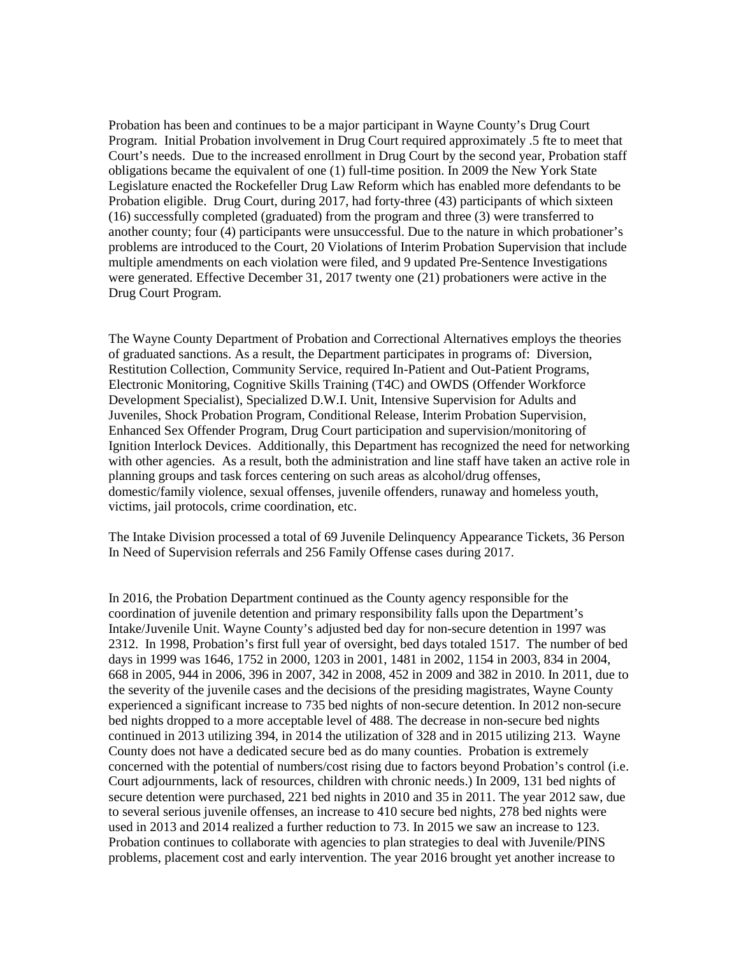Probation has been and continues to be a major participant in Wayne County's Drug Court Program. Initial Probation involvement in Drug Court required approximately .5 fte to meet that Court's needs. Due to the increased enrollment in Drug Court by the second year, Probation staff obligations became the equivalent of one (1) full-time position. In 2009 the New York State Legislature enacted the Rockefeller Drug Law Reform which has enabled more defendants to be Probation eligible. Drug Court, during 2017, had forty-three (43) participants of which sixteen (16) successfully completed (graduated) from the program and three (3) were transferred to another county; four (4) participants were unsuccessful. Due to the nature in which probationer's problems are introduced to the Court, 20 Violations of Interim Probation Supervision that include multiple amendments on each violation were filed, and 9 updated Pre-Sentence Investigations were generated. Effective December 31, 2017 twenty one (21) probationers were active in the Drug Court Program.

The Wayne County Department of Probation and Correctional Alternatives employs the theories of graduated sanctions. As a result, the Department participates in programs of: Diversion, Restitution Collection, Community Service, required In-Patient and Out-Patient Programs, Electronic Monitoring, Cognitive Skills Training (T4C) and OWDS (Offender Workforce Development Specialist), Specialized D.W.I. Unit, Intensive Supervision for Adults and Juveniles, Shock Probation Program, Conditional Release, Interim Probation Supervision, Enhanced Sex Offender Program, Drug Court participation and supervision/monitoring of Ignition Interlock Devices. Additionally, this Department has recognized the need for networking with other agencies. As a result, both the administration and line staff have taken an active role in planning groups and task forces centering on such areas as alcohol/drug offenses, domestic/family violence, sexual offenses, juvenile offenders, runaway and homeless youth, victims, jail protocols, crime coordination, etc.

The Intake Division processed a total of 69 Juvenile Delinquency Appearance Tickets, 36 Person In Need of Supervision referrals and 256 Family Offense cases during 2017.

In 2016, the Probation Department continued as the County agency responsible for the coordination of juvenile detention and primary responsibility falls upon the Department's Intake/Juvenile Unit. Wayne County's adjusted bed day for non-secure detention in 1997 was 2312. In 1998, Probation's first full year of oversight, bed days totaled 1517. The number of bed days in 1999 was 1646, 1752 in 2000, 1203 in 2001, 1481 in 2002, 1154 in 2003, 834 in 2004, 668 in 2005, 944 in 2006, 396 in 2007, 342 in 2008, 452 in 2009 and 382 in 2010. In 2011, due to the severity of the juvenile cases and the decisions of the presiding magistrates, Wayne County experienced a significant increase to 735 bed nights of non-secure detention. In 2012 non-secure bed nights dropped to a more acceptable level of 488. The decrease in non-secure bed nights continued in 2013 utilizing 394, in 2014 the utilization of 328 and in 2015 utilizing 213. Wayne County does not have a dedicated secure bed as do many counties. Probation is extremely concerned with the potential of numbers/cost rising due to factors beyond Probation's control (i.e. Court adjournments, lack of resources, children with chronic needs.) In 2009, 131 bed nights of secure detention were purchased, 221 bed nights in 2010 and 35 in 2011. The year 2012 saw, due to several serious juvenile offenses, an increase to 410 secure bed nights, 278 bed nights were used in 2013 and 2014 realized a further reduction to 73. In 2015 we saw an increase to 123. Probation continues to collaborate with agencies to plan strategies to deal with Juvenile/PINS problems, placement cost and early intervention. The year 2016 brought yet another increase to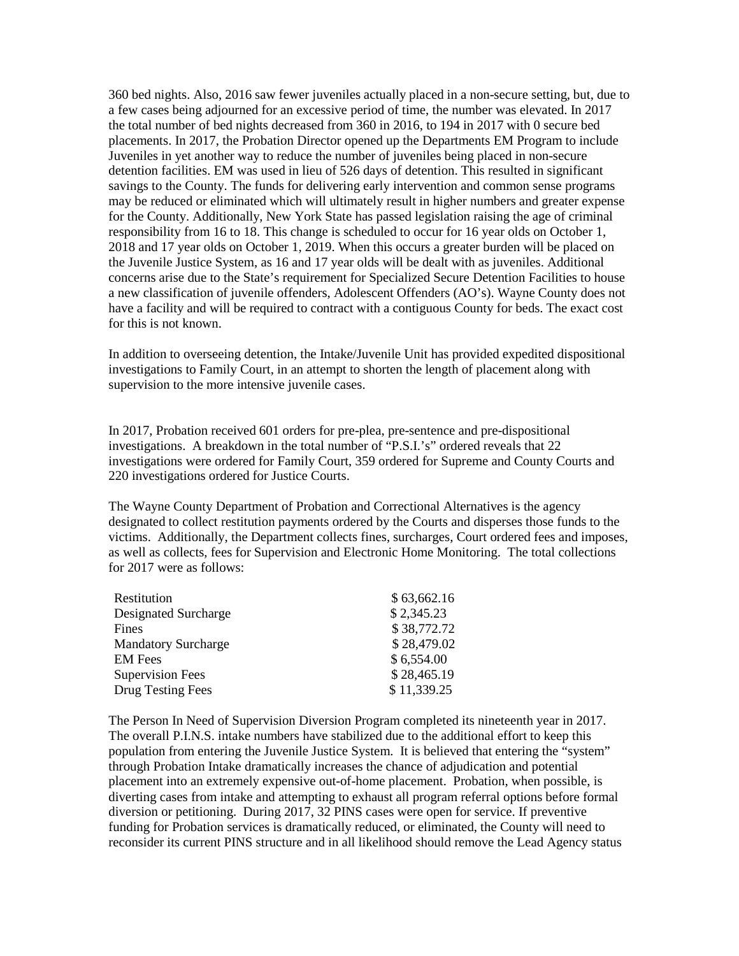360 bed nights. Also, 2016 saw fewer juveniles actually placed in a non-secure setting, but, due to a few cases being adjourned for an excessive period of time, the number was elevated. In 2017 the total number of bed nights decreased from 360 in 2016, to 194 in 2017 with 0 secure bed placements. In 2017, the Probation Director opened up the Departments EM Program to include Juveniles in yet another way to reduce the number of juveniles being placed in non-secure detention facilities. EM was used in lieu of 526 days of detention. This resulted in significant savings to the County. The funds for delivering early intervention and common sense programs may be reduced or eliminated which will ultimately result in higher numbers and greater expense for the County. Additionally, New York State has passed legislation raising the age of criminal responsibility from 16 to 18. This change is scheduled to occur for 16 year olds on October 1, 2018 and 17 year olds on October 1, 2019. When this occurs a greater burden will be placed on the Juvenile Justice System, as 16 and 17 year olds will be dealt with as juveniles. Additional concerns arise due to the State's requirement for Specialized Secure Detention Facilities to house a new classification of juvenile offenders, Adolescent Offenders (AO's). Wayne County does not have a facility and will be required to contract with a contiguous County for beds. The exact cost for this is not known.

In addition to overseeing detention, the Intake/Juvenile Unit has provided expedited dispositional investigations to Family Court, in an attempt to shorten the length of placement along with supervision to the more intensive juvenile cases.

In 2017, Probation received 601 orders for pre-plea, pre-sentence and pre-dispositional investigations. A breakdown in the total number of "P.S.I.'s" ordered reveals that 22 investigations were ordered for Family Court, 359 ordered for Supreme and County Courts and 220 investigations ordered for Justice Courts.

The Wayne County Department of Probation and Correctional Alternatives is the agency designated to collect restitution payments ordered by the Courts and disperses those funds to the victims. Additionally, the Department collects fines, surcharges, Court ordered fees and imposes, as well as collects, fees for Supervision and Electronic Home Monitoring. The total collections for 2017 were as follows:

| Restitution                | \$63,662.16 |
|----------------------------|-------------|
| Designated Surcharge       | \$2,345.23  |
| Fines                      | \$38,772.72 |
| <b>Mandatory Surcharge</b> | \$28,479.02 |
| <b>EM</b> Fees             | \$6,554.00  |
| <b>Supervision Fees</b>    | \$28,465.19 |
| Drug Testing Fees          | \$11,339.25 |

The Person In Need of Supervision Diversion Program completed its nineteenth year in 2017. The overall P.I.N.S. intake numbers have stabilized due to the additional effort to keep this population from entering the Juvenile Justice System. It is believed that entering the "system" through Probation Intake dramatically increases the chance of adjudication and potential placement into an extremely expensive out-of-home placement. Probation, when possible, is diverting cases from intake and attempting to exhaust all program referral options before formal diversion or petitioning. During 2017, 32 PINS cases were open for service. If preventive funding for Probation services is dramatically reduced, or eliminated, the County will need to reconsider its current PINS structure and in all likelihood should remove the Lead Agency status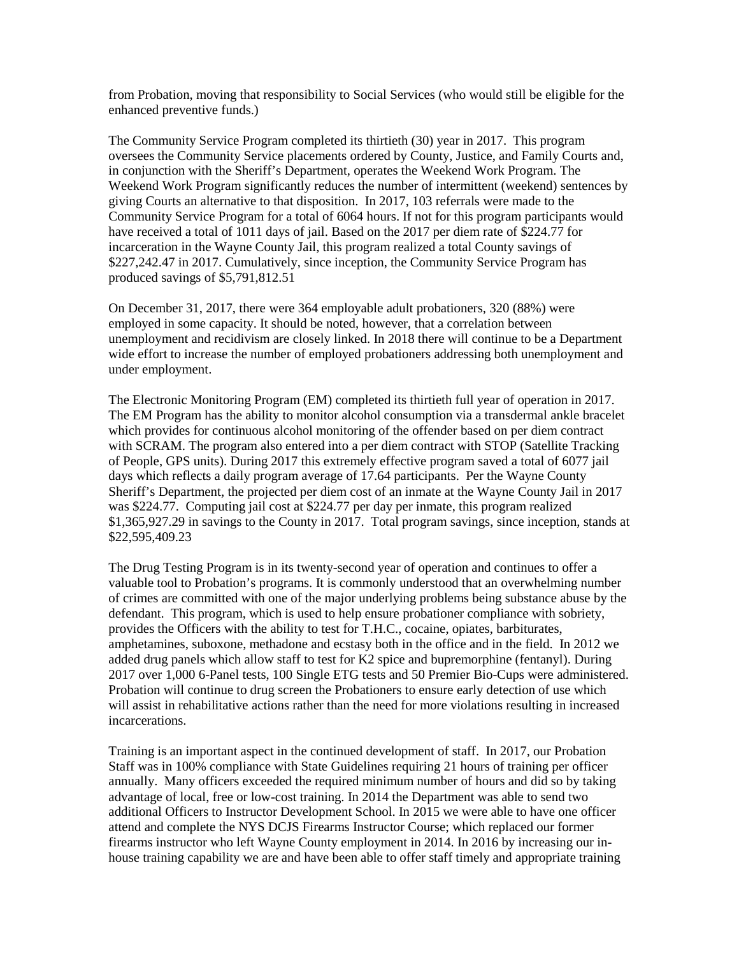from Probation, moving that responsibility to Social Services (who would still be eligible for the enhanced preventive funds.)

The Community Service Program completed its thirtieth (30) year in 2017. This program oversees the Community Service placements ordered by County, Justice, and Family Courts and, in conjunction with the Sheriff's Department, operates the Weekend Work Program. The Weekend Work Program significantly reduces the number of intermittent (weekend) sentences by giving Courts an alternative to that disposition. In 2017, 103 referrals were made to the Community Service Program for a total of 6064 hours. If not for this program participants would have received a total of 1011 days of jail. Based on the 2017 per diem rate of \$224.77 for incarceration in the Wayne County Jail, this program realized a total County savings of \$227,242.47 in 2017. Cumulatively, since inception, the Community Service Program has produced savings of \$5,791,812.51

On December 31, 2017, there were 364 employable adult probationers, 320 (88%) were employed in some capacity. It should be noted, however, that a correlation between unemployment and recidivism are closely linked. In 2018 there will continue to be a Department wide effort to increase the number of employed probationers addressing both unemployment and under employment.

The Electronic Monitoring Program (EM) completed its thirtieth full year of operation in 2017. The EM Program has the ability to monitor alcohol consumption via a transdermal ankle bracelet which provides for continuous alcohol monitoring of the offender based on per diem contract with SCRAM. The program also entered into a per diem contract with STOP (Satellite Tracking of People, GPS units). During 2017 this extremely effective program saved a total of 6077 jail days which reflects a daily program average of 17.64 participants. Per the Wayne County Sheriff's Department, the projected per diem cost of an inmate at the Wayne County Jail in 2017 was \$224.77. Computing jail cost at \$224.77 per day per inmate, this program realized \$1,365,927.29 in savings to the County in 2017. Total program savings, since inception, stands at \$22,595,409.23

The Drug Testing Program is in its twenty-second year of operation and continues to offer a valuable tool to Probation's programs. It is commonly understood that an overwhelming number of crimes are committed with one of the major underlying problems being substance abuse by the defendant. This program, which is used to help ensure probationer compliance with sobriety, provides the Officers with the ability to test for T.H.C., cocaine, opiates, barbiturates, amphetamines, suboxone, methadone and ecstasy both in the office and in the field. In 2012 we added drug panels which allow staff to test for K2 spice and bupremorphine (fentanyl). During 2017 over 1,000 6-Panel tests, 100 Single ETG tests and 50 Premier Bio-Cups were administered. Probation will continue to drug screen the Probationers to ensure early detection of use which will assist in rehabilitative actions rather than the need for more violations resulting in increased incarcerations.

Training is an important aspect in the continued development of staff. In 2017, our Probation Staff was in 100% compliance with State Guidelines requiring 21 hours of training per officer annually. Many officers exceeded the required minimum number of hours and did so by taking advantage of local, free or low-cost training. In 2014 the Department was able to send two additional Officers to Instructor Development School. In 2015 we were able to have one officer attend and complete the NYS DCJS Firearms Instructor Course; which replaced our former firearms instructor who left Wayne County employment in 2014. In 2016 by increasing our inhouse training capability we are and have been able to offer staff timely and appropriate training